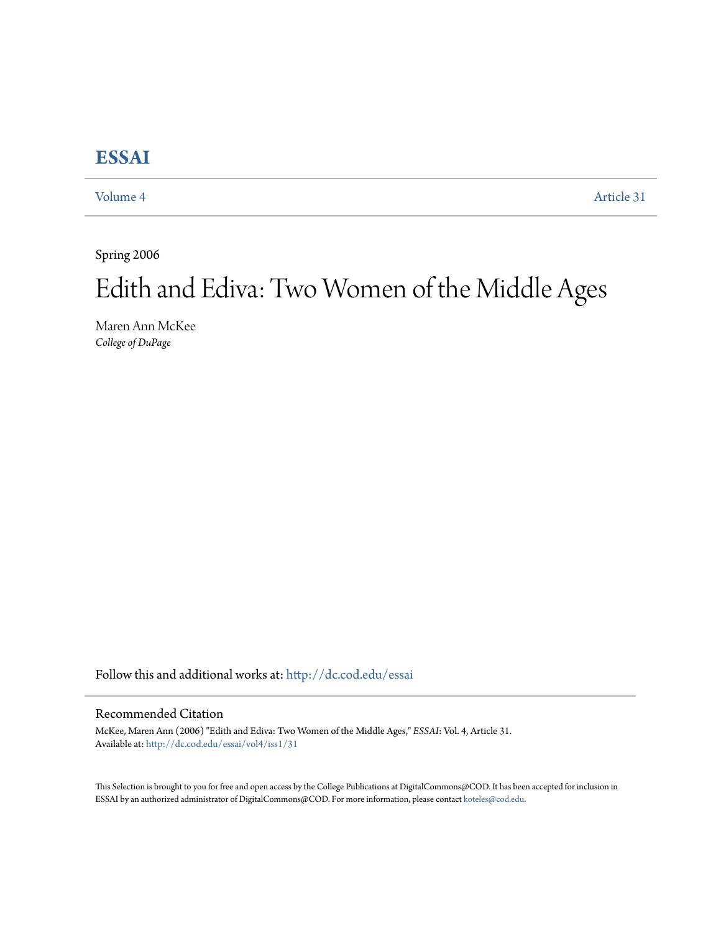## **[ESSAI](http://dc.cod.edu/essai?utm_source=dc.cod.edu%2Fessai%2Fvol4%2Fiss1%2F31&utm_medium=PDF&utm_campaign=PDFCoverPages)**

[Volume 4](http://dc.cod.edu/essai/vol4?utm_source=dc.cod.edu%2Fessai%2Fvol4%2Fiss1%2F31&utm_medium=PDF&utm_campaign=PDFCoverPages) [Article 31](http://dc.cod.edu/essai/vol4/iss1/31?utm_source=dc.cod.edu%2Fessai%2Fvol4%2Fiss1%2F31&utm_medium=PDF&utm_campaign=PDFCoverPages)

Spring 2006

## Edith and Ediva: Two Women of the Middle Ages

Maren Ann McKee *College of DuPage*

Follow this and additional works at: [http://dc.cod.edu/essai](http://dc.cod.edu/essai?utm_source=dc.cod.edu%2Fessai%2Fvol4%2Fiss1%2F31&utm_medium=PDF&utm_campaign=PDFCoverPages)

## Recommended Citation

McKee, Maren Ann (2006) "Edith and Ediva: Two Women of the Middle Ages," *ESSAI*: Vol. 4, Article 31. Available at: [http://dc.cod.edu/essai/vol4/iss1/31](http://dc.cod.edu/essai/vol4/iss1/31?utm_source=dc.cod.edu%2Fessai%2Fvol4%2Fiss1%2F31&utm_medium=PDF&utm_campaign=PDFCoverPages)

This Selection is brought to you for free and open access by the College Publications at DigitalCommons@COD. It has been accepted for inclusion in ESSAI by an authorized administrator of DigitalCommons@COD. For more information, please contact [koteles@cod.edu](mailto:koteles@cod.edu).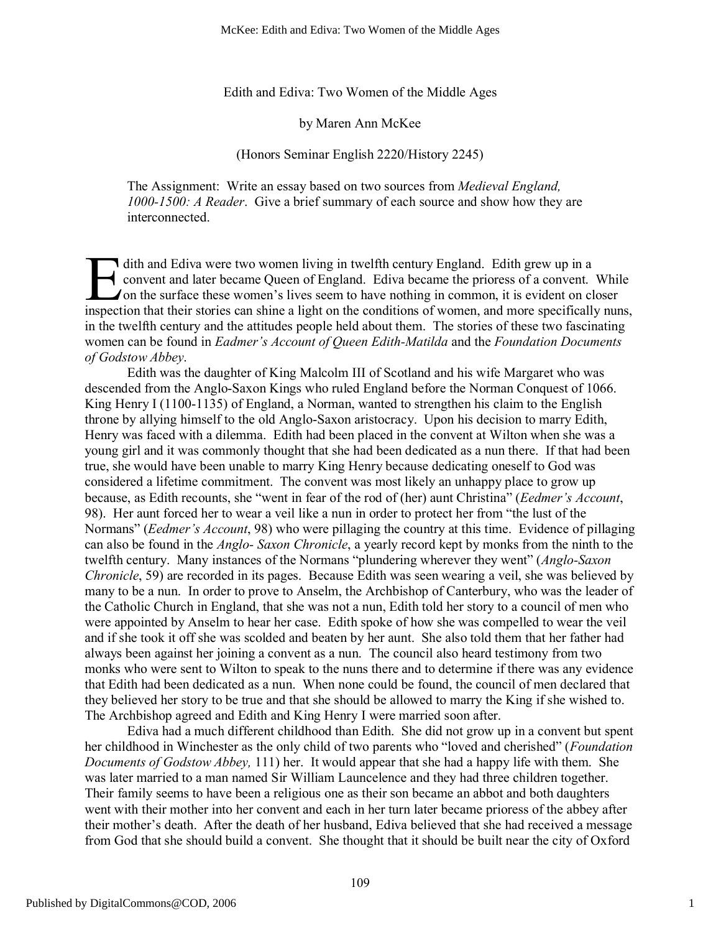McKee: Edith and Ediva: Two Women of the Middle Ages

Edith and Ediva: Two Women of the Middle Ages

by Maren Ann McKee

(Honors Seminar English 2220/History 2245)

The Assignment: Write an essay based on two sources from *Medieval England, 1000-1500: A Reader*. Give a brief summary of each source and show how they are interconnected.

dith and Ediva were two women living in twelfth century England. Edith grew up in a convent and later became Queen of England. Ediva became the prioress of a convent. While I on the surface these women's lives seem to have nothing in common, it is evident on closer dith and Ediva were two women living in twelfth century England. Edith grew up in a<br>convent and later became Queen of England. Ediva became the prioress of a convent. While<br>on the surface these women's lives seem to have n in the twelfth century and the attitudes people held about them. The stories of these two fascinating women can be found in *Eadmer's Account of Queen Edith-Matilda* and the *Foundation Documents of Godstow Abbey*.

Edith was the daughter of King Malcolm III of Scotland and his wife Margaret who was descended from the Anglo-Saxon Kings who ruled England before the Norman Conquest of 1066. King Henry I (1100-1135) of England, a Norman, wanted to strengthen his claim to the English throne by allying himself to the old Anglo-Saxon aristocracy. Upon his decision to marry Edith, Henry was faced with a dilemma. Edith had been placed in the convent at Wilton when she was a young girl and it was commonly thought that she had been dedicated as a nun there. If that had been true, she would have been unable to marry King Henry because dedicating oneself to God was considered a lifetime commitment. The convent was most likely an unhappy place to grow up because, as Edith recounts, she "went in fear of the rod of (her) aunt Christina" (*Eedmer's Account*, 98). Her aunt forced her to wear a veil like a nun in order to protect her from "the lust of the Normans" (*Eedmer's Account*, 98) who were pillaging the country at this time. Evidence of pillaging can also be found in the *Anglo- Saxon Chronicle*, a yearly record kept by monks from the ninth to the twelfth century. Many instances of the Normans "plundering wherever they went" (*Anglo-Saxon Chronicle*, 59) are recorded in its pages. Because Edith was seen wearing a veil, she was believed by many to be a nun. In order to prove to Anselm, the Archbishop of Canterbury, who was the leader of the Catholic Church in England, that she was not a nun, Edith told her story to a council of men who were appointed by Anselm to hear her case. Edith spoke of how she was compelled to wear the veil and if she took it off she was scolded and beaten by her aunt. She also told them that her father had always been against her joining a convent as a nun. The council also heard testimony from two monks who were sent to Wilton to speak to the nuns there and to determine if there was any evidence that Edith had been dedicated as a nun. When none could be found, the council of men declared that they believed her story to be true and that she should be allowed to marry the King if she wished to. The Archbishop agreed and Edith and King Henry I were married soon after.

Ediva had a much different childhood than Edith. She did not grow up in a convent but spent her childhood in Winchester as the only child of two parents who "loved and cherished" (*Foundation Documents of Godstow Abbey,* 111) her. It would appear that she had a happy life with them. She was later married to a man named Sir William Launcelence and they had three children together. Their family seems to have been a religious one as their son became an abbot and both daughters went with their mother into her convent and each in her turn later became prioress of the abbey after their mother's death. After the death of her husband, Ediva believed that she had received a message from God that she should build a convent. She thought that it should be built near the city of Oxford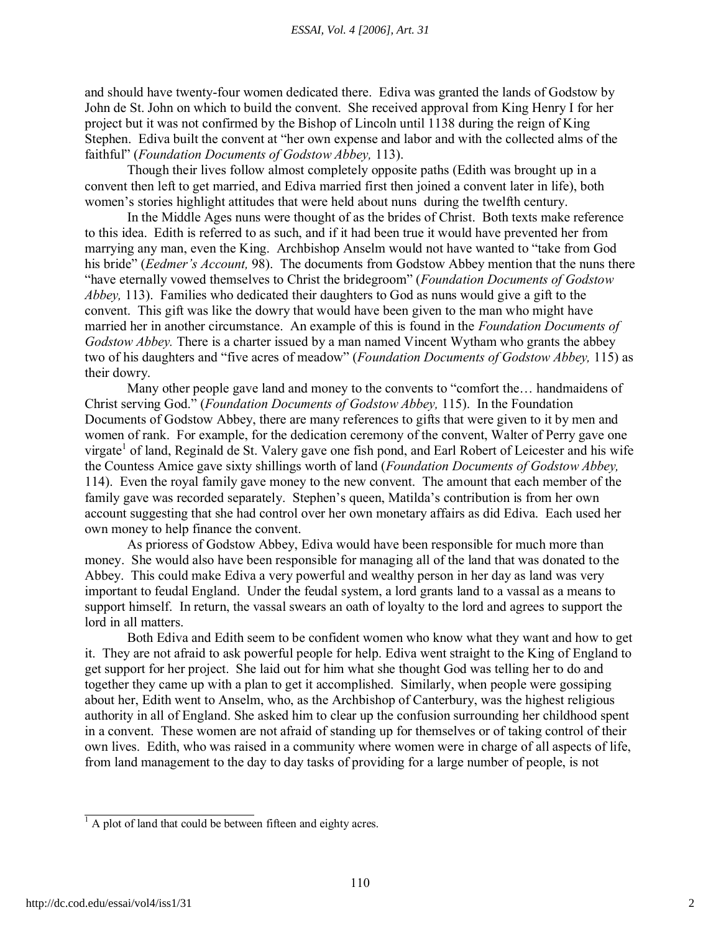and should have twenty-four women dedicated there. Ediva was granted the lands of Godstow by John de St. John on which to build the convent. She received approval from King Henry I for her project but it was not confirmed by the Bishop of Lincoln until 1138 during the reign of King Stephen. Ediva built the convent at "her own expense and labor and with the collected alms of the faithful" (*Foundation Documents of Godstow Abbey,* 113).

Though their lives follow almost completely opposite paths (Edith was brought up in a convent then left to get married, and Ediva married first then joined a convent later in life), both women's stories highlight attitudes that were held about nuns during the twelfth century.

In the Middle Ages nuns were thought of as the brides of Christ. Both texts make reference to this idea. Edith is referred to as such, and if it had been true it would have prevented her from marrying any man, even the King. Archbishop Anselm would not have wanted to "take from God his bride" (*Eedmer's Account,* 98). The documents from Godstow Abbey mention that the nuns there "have eternally vowed themselves to Christ the bridegroom" (*Foundation Documents of Godstow Abbey,* 113). Families who dedicated their daughters to God as nuns would give a gift to the convent. This gift was like the dowry that would have been given to the man who might have married her in another circumstance. An example of this is found in the *Foundation Documents of Godstow Abbey.* There is a charter issued by a man named Vincent Wytham who grants the abbey two of his daughters and "five acres of meadow" (*Foundation Documents of Godstow Abbey,* 115) as their dowry.

Many other people gave land and money to the convents to "comfort the… handmaidens of Christ serving God." (*Foundation Documents of Godstow Abbey,* 115). In the Foundation Documents of Godstow Abbey, there are many references to gifts that were given to it by men and women of rank. For example, for the dedication ceremony of the convent, Walter of Perry gave one virgate<sup>1</sup> of land, Reginald de St. Valery gave one fish pond, and Earl Robert of Leicester and his wife the Countess Amice gave sixty shillings worth of land (*Foundation Documents of Godstow Abbey,* 114). Even the royal family gave money to the new convent. The amount that each member of the family gave was recorded separately. Stephen's queen, Matilda's contribution is from her own account suggesting that she had control over her own monetary affairs as did Ediva. Each used her own money to help finance the convent.

As prioress of Godstow Abbey, Ediva would have been responsible for much more than money. She would also have been responsible for managing all of the land that was donated to the Abbey. This could make Ediva a very powerful and wealthy person in her day as land was very important to feudal England. Under the feudal system, a lord grants land to a vassal as a means to support himself. In return, the vassal swears an oath of loyalty to the lord and agrees to support the lord in all matters.

Both Ediva and Edith seem to be confident women who know what they want and how to get it. They are not afraid to ask powerful people for help. Ediva went straight to the King of England to get support for her project. She laid out for him what she thought God was telling her to do and together they came up with a plan to get it accomplished. Similarly, when people were gossiping about her, Edith went to Anselm, who, as the Archbishop of Canterbury, was the highest religious authority in all of England. She asked him to clear up the confusion surrounding her childhood spent in a convent. These women are not afraid of standing up for themselves or of taking control of their own lives. Edith, who was raised in a community where women were in charge of all aspects of life, from land management to the day to day tasks of providing for a large number of people, is not

<sup>&</sup>lt;sup>1</sup> A plot of land that could be between fifteen and eighty acres.